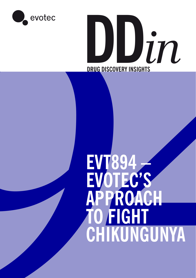



# EVT894<br>EVOTEC'S<br>APPROACH<br>TO FIGHT<br>CHIKUNGUNYA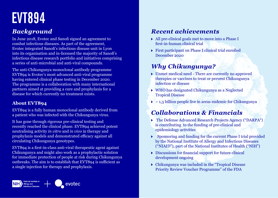# **EVT894**

### *Background*

In June 2018, Evotec and Sanofi signed an agreement to combat infectious diseases. As part of the agreement, Evotec integrated Sanofi's infectious disease unit in Lyon into its organisation and in-licensed the majority of Sanofi's infectious disease research portfolio and initiatives comprising a series of anti-microbial and anti-viral compounds.

The anti-Chikungunya monoclonal antibody programme EVT894 is Evotec's most advanced anti-viral programme having entered clinical phase testing in December 2020. The programme is a collaboration with many international partners aimed at providing a cure and prophylaxis for a disease for which currently no treatment exists.

### **About EVT894**

EVT894 is a fully human monoclonal antibody derived from a patient who was infected with the Chikungunya virus.

It has gone through rigorous pre-clinical testing and recently reached the clinical phase. EVT894 achieved potent neutralising activity *in vitro* and *in vivo* in therapy and prophylaxis models and demonstrated efficacy against all circulating Chikungunya genotypes.

EVT894 is a first-in-class anti-viral therapeutic agent against Chikungunya and might also work as a prophylactic solution for immediate protection of people at risk during Chikungunya outbreaks. The aim is to establish that EVT894 is sufficient as a single injection for therapy and prophylaxis.

### *Recent achievements*

- All pre-clinical goals met to move into a Phase I first-in-human clinical trial
- First participant on Phase I clinical trial enrolled December 2020

## *Why Chikungunya?*

- Unmet medical need There are currently no approved therapies or vaccines to treat or prevent Chikungunya infection or disease
- WHO has designated Chikungunya as a Neglected Tropical Disease
- $\rightarrow \infty$  1,3 billion people live in areas endemic for Chikungunya

### *Collaborations & Financials*

- The Defense Advanced Research Projects Agency ("DARPA") is contributing to the funding of pre-clinical and epidemiology activities
- Sponsoring and funding for the current Phase I trial provided by the National Institute of Allergy and Infectious Diseases ("NIAID"), part of the National Institutes of Health ("NIH")
- Discussions for financial support for future clinical development ongoing
- Chikungunya was included in the "Tropical Disease Priority Review Voucher Programme" of the FDA

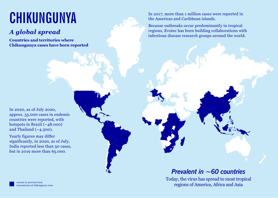# **CHIKUNGUNYA**

## *A global spread*

**Countries and territories where Chikungunya cases have been reported** In 2017, more than 1 million cases were reported in the Americas and Caribbean islands.

Because outbreaks occur predominantly in tropical regions, Evotec has been building collaborations with infectious disease research groups around the world.

In 2020, as of July 2020, approx. 55.000 cases in endemic countries were reported, with hotspots in Brazil  $(*48.000)$ and Thailand  $(-4.300)$ .

Yearly figures may differ significantly, in 2020, as of July, India reported less than 50 cases, but in 2019 more than 65.000.

### *Prevalent in ~60 countries*

Today, the virus has spread to most tropical regions of America, Africa and Asia

current or previous local transmission of chikungunya virus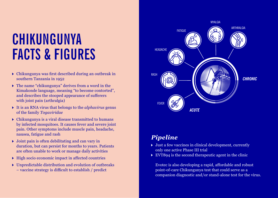# **CHIKUNGUNYA FACTS & FIGURES**

- Chikungunya was first described during an outbreak in southern Tanzania in 1952
- The name "chikungunya" derives from a word in the Kimakonde language, meaning "to become contorted", and describes the stooped appearance of sufferers with joint pain (arthralgia)
- It is an RNA virus that belongs to the *alphavirus* genus of the family *Togaviridae*
- Chikungunya is a viral disease transmitted to humans by infected mosquitoes. It causes fever and severe joint pain. Other symptoms include muscle pain, headache, nausea, fatigue and rash
- $\triangleright$  Joint pain is often debilitating and can vary in duration, but can persist for months to years. Patients are often unable to work or manage daily activities
- $\triangleright$  High socio economic impact in affected countries
- Unpredictable distribution and evolution of outbreaks – vaccine strategy is difficult to establish / predict



### *Pipeline*

- $\triangleright$  Just a few vaccines in clinical development, currently only one active Phase III trial
- $\triangleright$  EVT894 is the second therapeutic agent in the clinic

 Evotec is also developing a rapid, affordable and robust point-of-care Chikungunya test that could serve as a companion diagnostic and/or stand-alone test for the virus.